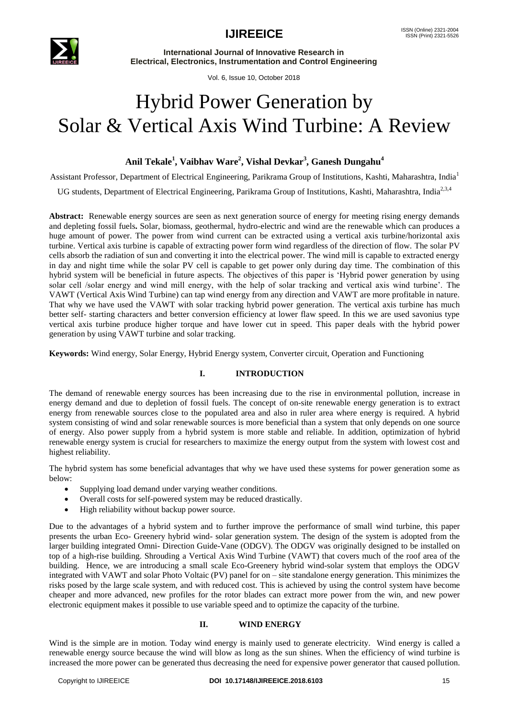

**International Journal of Innovative Research in Electrical, Electronics, Instrumentation and Control Engineering**

Vol. 6, Issue 10, October 2018

# Hybrid Power Generation by Solar & Vertical Axis Wind Turbine: A Review

### **Anil Tekale<sup>1</sup> , Vaibhav Ware<sup>2</sup> , Vishal Devkar<sup>3</sup> , Ganesh Dungahu<sup>4</sup>**

Assistant Professor, Department of Electrical Engineering, Parikrama Group of Institutions, Kashti, Maharashtra, India<sup>1</sup>

UG students, Department of Electrical Engineering, Parikrama Group of Institutions, Kashti, Maharashtra, India<sup>2,3,4</sup>

**Abstract:** Renewable energy sources are seen as next generation source of energy for meeting rising energy demands and depleting fossil fuels**.** Solar, biomass, geothermal, hydro-electric and wind are the renewable which can produces a huge amount of power. The power from wind current can be extracted using a vertical axis turbine/horizontal axis turbine. Vertical axis turbine is capable of extracting power form wind regardless of the direction of flow. The solar PV cells absorb the radiation of sun and converting it into the electrical power. The wind mill is capable to extracted energy in day and night time while the solar PV cell is capable to get power only during day time. The combination of this hybrid system will be beneficial in future aspects. The objectives of this paper is "Hybrid power generation by using solar cell /solar energy and wind mill energy, with the help of solar tracking and vertical axis wind turbine'. The VAWT (Vertical Axis Wind Turbine) can tap wind energy from any direction and VAWT are more profitable in nature. That why we have used the VAWT with solar tracking hybrid power generation. The vertical axis turbine has much better self- starting characters and better conversion efficiency at lower flaw speed. In this we are used savonius type vertical axis turbine produce higher torque and have lower cut in speed. This paper deals with the hybrid power generation by using VAWT turbine and solar tracking.

**Keywords:** Wind energy, Solar Energy, Hybrid Energy system, Converter circuit, Operation and Functioning

### **I. INTRODUCTION**

The demand of renewable energy sources has been increasing due to the rise in environmental pollution, increase in energy demand and due to depletion of fossil fuels. The concept of on-site renewable energy generation is to extract energy from renewable sources close to the populated area and also in ruler area where energy is required. A hybrid system consisting of wind and solar renewable sources is more beneficial than a system that only depends on one source of energy. Also power supply from a hybrid system is more stable and reliable. In addition, optimization of hybrid renewable energy system is crucial for researchers to maximize the energy output from the system with lowest cost and highest reliability.

The hybrid system has some beneficial advantages that why we have used these systems for power generation some as below:

- Supplying load demand under varying weather conditions.
- Overall costs for self-powered system may be reduced drastically.
- High reliability without backup power source.

Due to the advantages of a hybrid system and to further improve the performance of small wind turbine, this paper presents the urban Eco- Greenery hybrid wind- solar generation system. The design of the system is adopted from the larger building integrated Omni- Direction Guide-Vane (ODGV). The ODGV was originally designed to be installed on top of a high-rise building. Shrouding a Vertical Axis Wind Turbine (VAWT) that covers much of the roof area of the building. Hence, we are introducing a small scale Eco-Greenery hybrid wind-solar system that employs the ODGV integrated with VAWT and solar Photo Voltaic (PV) panel for on – site standalone energy generation. This minimizes the risks posed by the large scale system, and with reduced cost. This is achieved by using the control system have become cheaper and more advanced, new profiles for the rotor blades can extract more power from the win, and new power electronic equipment makes it possible to use variable speed and to optimize the capacity of the turbine.

### **II. WIND ENERGY**

Wind is the simple are in motion. Today wind energy is mainly used to generate electricity. Wind energy is called a renewable energy source because the wind will blow as long as the sun shines. When the efficiency of wind turbine is increased the more power can be generated thus decreasing the need for expensive power generator that caused pollution.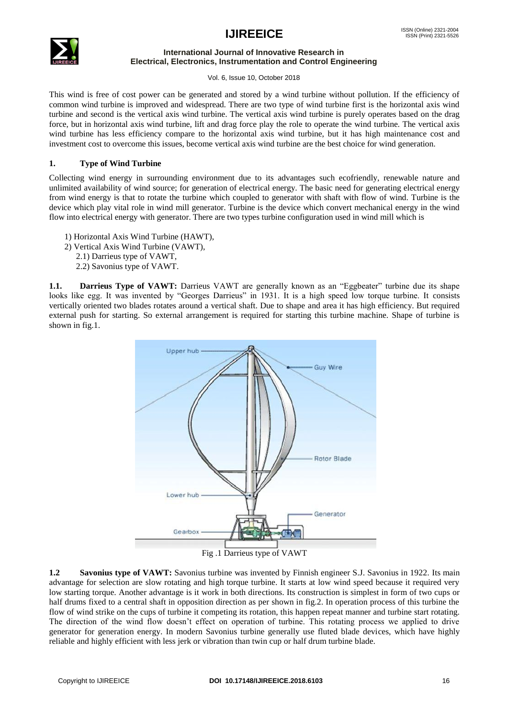

### **International Journal of Innovative Research in Electrical, Electronics, Instrumentation and Control Engineering**

Vol. 6, Issue 10, October 2018

This wind is free of cost power can be generated and stored by a wind turbine without pollution. If the efficiency of common wind turbine is improved and widespread. There are two type of wind turbine first is the horizontal axis wind turbine and second is the vertical axis wind turbine. The vertical axis wind turbine is purely operates based on the drag force, but in horizontal axis wind turbine, lift and drag force play the role to operate the wind turbine. The vertical axis wind turbine has less efficiency compare to the horizontal axis wind turbine, but it has high maintenance cost and investment cost to overcome this issues, become vertical axis wind turbine are the best choice for wind generation.

### **1. Type of Wind Turbine**

Collecting wind energy in surrounding environment due to its advantages such ecofriendly, renewable nature and unlimited availability of wind source; for generation of electrical energy. The basic need for generating electrical energy from wind energy is that to rotate the turbine which coupled to generator with shaft with flow of wind. Turbine is the device which play vital role in wind mill generator. Turbine is the device which convert mechanical energy in the wind flow into electrical energy with generator. There are two types turbine configuration used in wind mill which is

- 1) Horizontal Axis Wind Turbine (HAWT),
- 2) Vertical Axis Wind Turbine (VAWT),
	- 2.1) Darrieus type of VAWT,
	- 2.2) Savonius type of VAWT.

**1.1. Darrieus Type of VAWT:** Darrieus VAWT are generally known as an "Eggbeater" turbine due its shape looks like egg. It was invented by "Georges Darrieus" in 1931. It is a high speed low torque turbine. It consists vertically oriented two blades rotates around a vertical shaft. Due to shape and area it has high efficiency. But required external push for starting. So external arrangement is required for starting this turbine machine. Shape of turbine is shown in fig.1.



**1.2 Savonius type of VAWT:** Savonius turbine was invented by Finnish engineer S.J. Savonius in 1922. Its main advantage for selection are slow rotating and high torque turbine. It starts at low wind speed because it required very low starting torque. Another advantage is it work in both directions. Its construction is simplest in form of two cups or half drums fixed to a central shaft in opposition direction as per shown in fig.2. In operation process of this turbine the flow of wind strike on the cups of turbine it competing its rotation, this happen repeat manner and turbine start rotating. The direction of the wind flow doesn"t effect on operation of turbine. This rotating process we applied to drive generator for generation energy. In modern Savonius turbine generally use fluted blade devices, which have highly reliable and highly efficient with less jerk or vibration than twin cup or half drum turbine blade.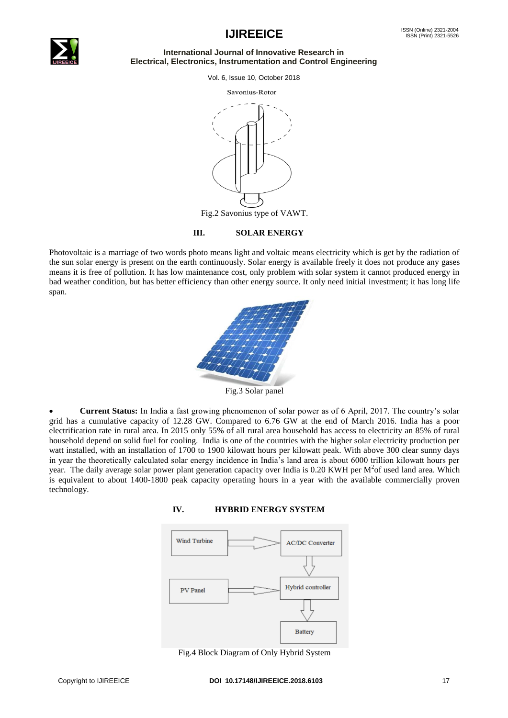

### **International Journal of Innovative Research in Electrical, Electronics, Instrumentation and Control Engineering**

Vol. 6, Issue 10, October 2018





Fig.2 Savonius type of VAWT.

### **III. SOLAR ENERGY**

Photovoltaic is a marriage of two words photo means light and voltaic means electricity which is get by the radiation of the sun solar energy is present on the earth continuously. Solar energy is available freely it does not produce any gases means it is free of pollution. It has low maintenance cost, only problem with solar system it cannot produced energy in bad weather condition, but has better efficiency than other energy source. It only need initial investment; it has long life span.



Fig.3 Solar panel

 **Current Status:** In India a fast growing phenomenon of solar power as of 6 April, 2017. The country"s solar grid has a cumulative capacity of 12.28 GW. Compared to 6.76 GW at the end of March 2016. India has a poor electrification rate in rural area. In 2015 only 55% of all rural area household has access to electricity an 85% of rural household depend on solid fuel for cooling. India is one of the countries with the higher solar electricity production per watt installed, with an installation of 1700 to 1900 kilowatt hours per kilowatt peak. With above 300 clear sunny days in year the theoretically calculated solar energy incidence in India"s land area is about 6000 trillion kilowatt hours per year. The daily average solar power plant generation capacity over India is 0.20 KWH per  $M^2$ of used land area. Which is equivalent to about 1400-1800 peak capacity operating hours in a year with the available commercially proven technology.





Fig.4 Block Diagram of Only Hybrid System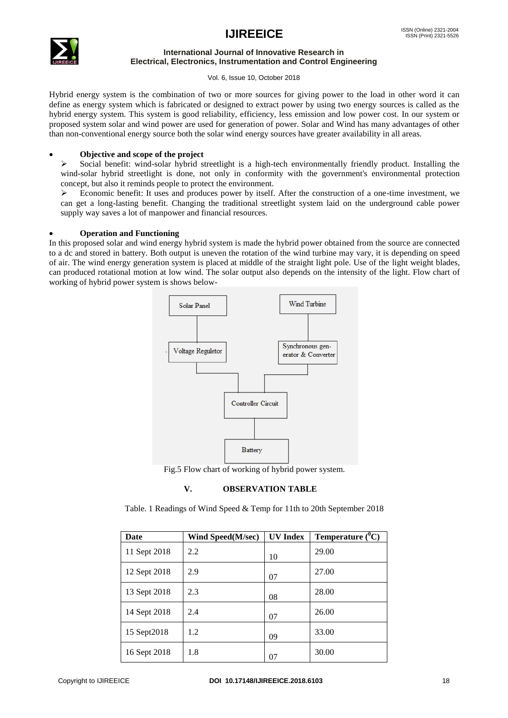

### **International Journal of Innovative Research in Electrical, Electronics, Instrumentation and Control Engineering**

Vol. 6, Issue 10, October 2018

Hybrid energy system is the combination of two or more sources for giving power to the load in other word it can define as energy system which is fabricated or designed to extract power by using two energy sources is called as the hybrid energy system. This system is good reliability, efficiency, less emission and low power cost. In our system or proposed system solar and wind power are used for generation of power. Solar and Wind has many advantages of other than non-conventional energy source both the solar wind energy sources have greater availability in all areas.

### **Objective and scope of the project**

 Social benefit: wind-solar hybrid streetlight is a high-tech environmentally friendly product. Installing the wind-solar hybrid streetlight is done, not only in conformity with the government's environmental protection concept, but also it reminds people to protect the environment.

Economic benefit: It uses and produces power by itself. After the construction of a one-time investment, we can get a long-lasting benefit. Changing the traditional streetlight system laid on the underground cable power supply way saves a lot of manpower and financial resources.

### **Operation and Functioning**

In this proposed solar and wind energy hybrid system is made the hybrid power obtained from the source are connected to a dc and stored in battery. Both output is uneven the rotation of the wind turbine may vary, it is depending on speed of air. The wind energy generation system is placed at middle of the straight light pole. Use of the light weight blades, can produced rotational motion at low wind. The solar output also depends on the intensity of the light. Flow chart of working of hybrid power system is shows below-



Fig.5 Flow chart of working of hybrid power system.

### **V. OBSERVATION TABLE**

Table. 1 Readings of Wind Speed & Temp for 11th to 20th September 2018

| Date         | Wind Speed(M/sec) | <b>UV</b> Index | Temperature $(^0C)$ |
|--------------|-------------------|-----------------|---------------------|
| 11 Sept 2018 | 2.2               | 10              | 29.00               |
| 12 Sept 2018 | 2.9               | 07              | 27.00               |
| 13 Sept 2018 | 2.3               | 08              | 28.00               |
| 14 Sept 2018 | 2.4               | 07              | 26.00               |
| 15 Sept2018  | 1.2               | 09              | 33.00               |
| 16 Sept 2018 | 1.8               | 07              | 30.00               |